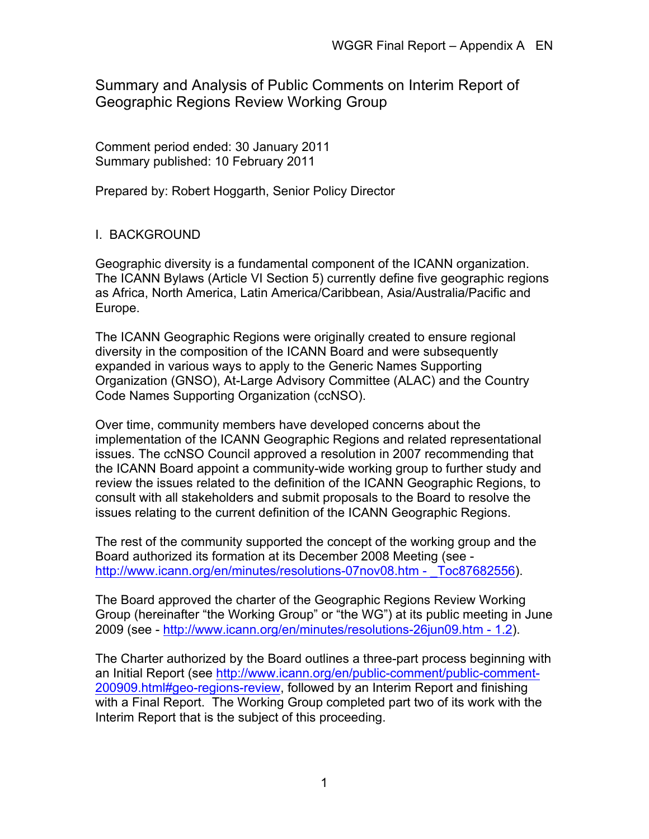Summary and Analysis of Public Comments on Interim Report of Geographic Regions Review Working Group

Comment period ended: 30 January 2011 Summary published: 10 February 2011

Prepared by: Robert Hoggarth, Senior Policy Director

# I. BACKGROUND

Geographic diversity is a fundamental component of the ICANN organization. The ICANN Bylaws (Article VI Section 5) currently define five geographic regions as Africa, North America, Latin America/Caribbean, Asia/Australia/Pacific and Europe.

The ICANN Geographic Regions were originally created to ensure regional diversity in the composition of the ICANN Board and were subsequently expanded in various ways to apply to the Generic Names Supporting Organization (GNSO), At-Large Advisory Committee (ALAC) and the Country Code Names Supporting Organization (ccNSO).

Over time, community members have developed concerns about the implementation of the ICANN Geographic Regions and related representational issues. The ccNSO Council approved a resolution in 2007 recommending that the ICANN Board appoint a community-wide working group to further study and review the issues related to the definition of the ICANN Geographic Regions, to consult with all stakeholders and submit proposals to the Board to resolve the issues relating to the current definition of the ICANN Geographic Regions.

The rest of the community supported the concept of the working group and the Board authorized its formation at its December 2008 Meeting (see http://www.icann.org/en/minutes/resolutions-07nov08.htm - Toc87682556).

The Board approved the charter of the Geographic Regions Review Working Group (hereinafter "the Working Group" or "the WG") at its public meeting in June 2009 (see - http://www.icann.org/en/minutes/resolutions-26jun09.htm - 1.2).

The Charter authorized by the Board outlines a three-part process beginning with an Initial Report (see http://www.icann.org/en/public-comment/public-comment-200909.html#geo-regions-review, followed by an Interim Report and finishing with a Final Report. The Working Group completed part two of its work with the Interim Report that is the subject of this proceeding.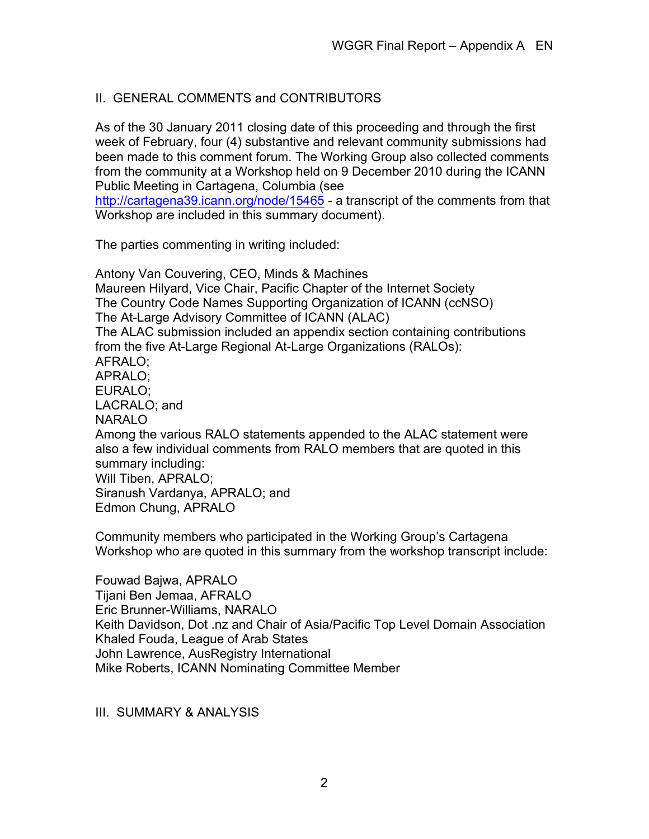# II. GENERAL COMMENTS and CONTRIBUTORS

As of the 30 January 2011 closing date of this proceeding and through the first week of February, four (4) substantive and relevant community submissions had been made to this comment forum. The Working Group also collected comments from the community at a Workshop held on 9 December 2010 during the ICANN Public Meeting in Cartagena, Columbia (see

http://cartagena39.jcann.org/node/15465 - a transcript of the comments from that Workshop are included in this summary document).

The parties commenting in writing included:

Antony Van Couvering, CEO, Minds & Machines Maureen Hilyard, Vice Chair, Pacific Chapter of the Internet Society The Country Code Names Supporting Organization of ICANN (ccNSO) The At-Large Advisory Committee of ICANN (ALAC) The ALAC submission included an appendix section containing contributions from the five At-Large Regional At-Large Organizations (RALOs): AFRALO; APRALO; EURALO; LACRALO; and NARALO Among the various RALO statements appended to the ALAC statement were also a few individual comments from RALO members that are quoted in this summary including: Will Tiben, APRALO; Siranush Vardanya, APRALO; and Edmon Chung, APRALO

Community members who participated in the Working Group's Cartagena Workshop who are quoted in this summary from the workshop transcript include:

Fouwad Bajwa, APRALO Tijani Ben Jemaa, AFRALO Eric Brunner-Williams, NARALO Keith Davidson, Dot .nz and Chair of Asia/Pacific Top Level Domain Association Khaled Fouda, League of Arab States John Lawrence, AusRegistry International Mike Roberts, ICANN Nominating Committee Member

III. SUMMARY & ANALYSIS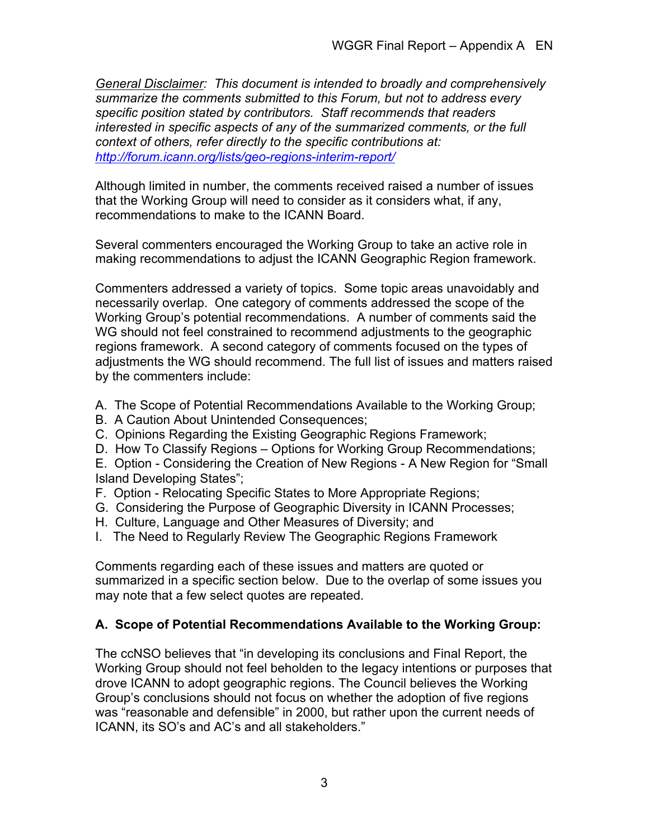*General Disclaimer: This document is intended to broadly and comprehensively summarize the comments submitted to this Forum, but not to address every specific position stated by contributors. Staff recommends that readers interested in specific aspects of any of the summarized comments, or the full context of others, refer directly to the specific contributions at: http://forum.icann.org/lists/geo-regions-interim-report/*

Although limited in number, the comments received raised a number of issues that the Working Group will need to consider as it considers what, if any, recommendations to make to the ICANN Board.

Several commenters encouraged the Working Group to take an active role in making recommendations to adjust the ICANN Geographic Region framework.

Commenters addressed a variety of topics. Some topic areas unavoidably and necessarily overlap. One category of comments addressed the scope of the Working Group's potential recommendations. A number of comments said the WG should not feel constrained to recommend adjustments to the geographic regions framework. A second category of comments focused on the types of adjustments the WG should recommend. The full list of issues and matters raised by the commenters include:

- A. The Scope of Potential Recommendations Available to the Working Group;
- B. A Caution About Unintended Consequences;
- C. Opinions Regarding the Existing Geographic Regions Framework;
- D. How To Classify Regions Options for Working Group Recommendations;
- E. Option Considering the Creation of New Regions A New Region for "Small Island Developing States";
- F. Option Relocating Specific States to More Appropriate Regions;
- G. Considering the Purpose of Geographic Diversity in ICANN Processes;
- H. Culture, Language and Other Measures of Diversity; and
- I. The Need to Regularly Review The Geographic Regions Framework

Comments regarding each of these issues and matters are quoted or summarized in a specific section below. Due to the overlap of some issues you may note that a few select quotes are repeated.

# **A. Scope of Potential Recommendations Available to the Working Group:**

The ccNSO believes that "in developing its conclusions and Final Report, the Working Group should not feel beholden to the legacy intentions or purposes that drove ICANN to adopt geographic regions. The Council believes the Working Group's conclusions should not focus on whether the adoption of five regions was "reasonable and defensible" in 2000, but rather upon the current needs of ICANN, its SO's and AC's and all stakeholders."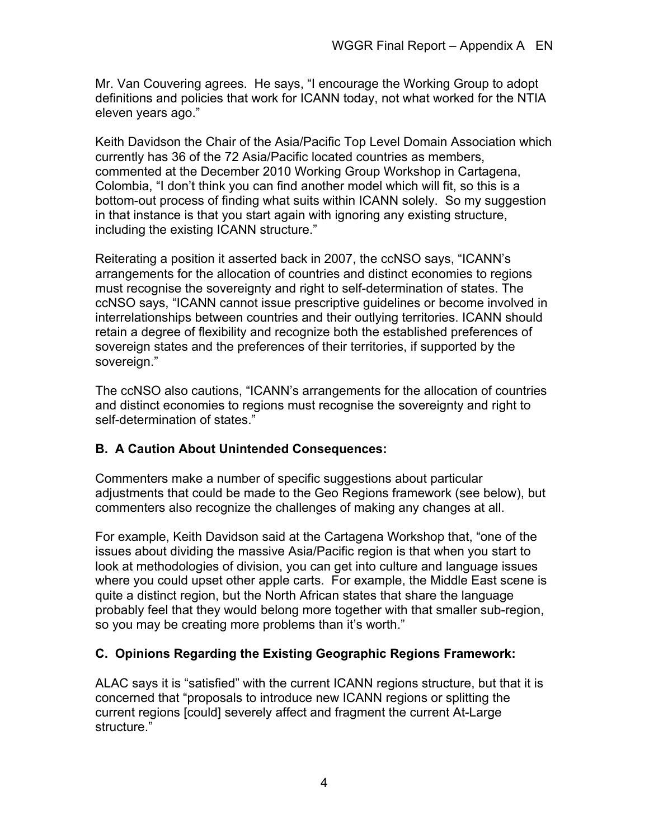Mr. Van Couvering agrees. He says, "I encourage the Working Group to adopt definitions and policies that work for ICANN today, not what worked for the NTIA eleven years ago."

Keith Davidson the Chair of the Asia/Pacific Top Level Domain Association which currently has 36 of the 72 Asia/Pacific located countries as members, commented at the December 2010 Working Group Workshop in Cartagena, Colombia, "I don't think you can find another model which will fit, so this is a bottom-out process of finding what suits within ICANN solely. So my suggestion in that instance is that you start again with ignoring any existing structure, including the existing ICANN structure."

Reiterating a position it asserted back in 2007, the ccNSO says, "ICANN's arrangements for the allocation of countries and distinct economies to regions must recognise the sovereignty and right to self-determination of states. The ccNSO says, "ICANN cannot issue prescriptive guidelines or become involved in interrelationships between countries and their outlying territories. ICANN should retain a degree of flexibility and recognize both the established preferences of sovereign states and the preferences of their territories, if supported by the sovereign."

The ccNSO also cautions, "ICANN's arrangements for the allocation of countries and distinct economies to regions must recognise the sovereignty and right to self-determination of states."

# **B. A Caution About Unintended Consequences:**

Commenters make a number of specific suggestions about particular adjustments that could be made to the Geo Regions framework (see below), but commenters also recognize the challenges of making any changes at all.

For example, Keith Davidson said at the Cartagena Workshop that, "one of the issues about dividing the massive Asia/Pacific region is that when you start to look at methodologies of division, you can get into culture and language issues where you could upset other apple carts. For example, the Middle East scene is quite a distinct region, but the North African states that share the language probably feel that they would belong more together with that smaller sub-region, so you may be creating more problems than it's worth."

# **C. Opinions Regarding the Existing Geographic Regions Framework:**

ALAC says it is "satisfied" with the current ICANN regions structure, but that it is concerned that "proposals to introduce new ICANN regions or splitting the current regions [could] severely affect and fragment the current At-Large structure."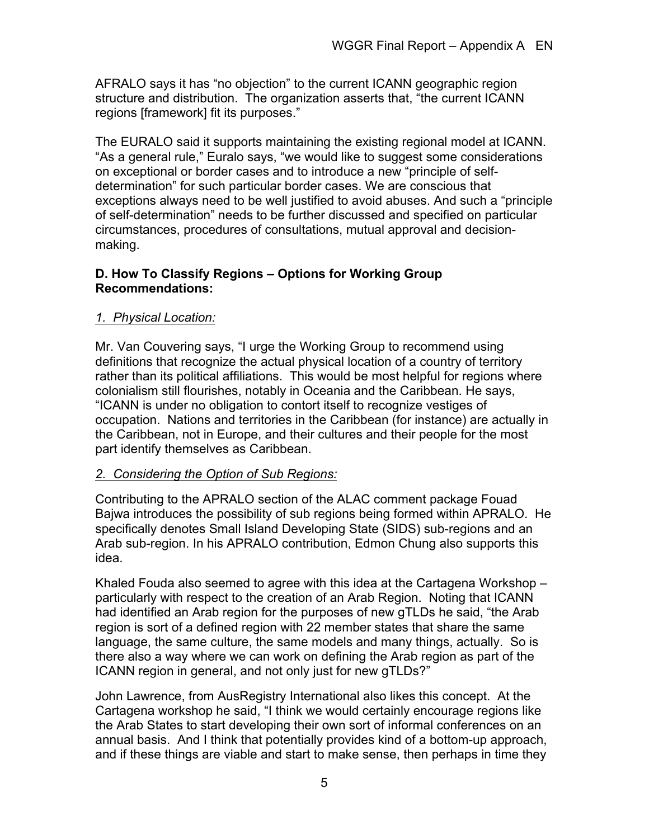AFRALO says it has "no objection" to the current ICANN geographic region structure and distribution. The organization asserts that, "the current ICANN regions [framework] fit its purposes."

The EURALO said it supports maintaining the existing regional model at ICANN. "As a general rule," Euralo says, "we would like to suggest some considerations on exceptional or border cases and to introduce a new "principle of selfdetermination" for such particular border cases. We are conscious that exceptions always need to be well justified to avoid abuses. And such a "principle of self-determination" needs to be further discussed and specified on particular circumstances, procedures of consultations, mutual approval and decisionmaking.

# **D. How To Classify Regions – Options for Working Group Recommendations:**

# *1. Physical Location:*

Mr. Van Couvering says, "I urge the Working Group to recommend using definitions that recognize the actual physical location of a country of territory rather than its political affiliations. This would be most helpful for regions where colonialism still flourishes, notably in Oceania and the Caribbean. He says, "ICANN is under no obligation to contort itself to recognize vestiges of occupation. Nations and territories in the Caribbean (for instance) are actually in the Caribbean, not in Europe, and their cultures and their people for the most part identify themselves as Caribbean.

# *2. Considering the Option of Sub Regions:*

Contributing to the APRALO section of the ALAC comment package Fouad Bajwa introduces the possibility of sub regions being formed within APRALO. He specifically denotes Small Island Developing State (SIDS) sub-regions and an Arab sub-region. In his APRALO contribution, Edmon Chung also supports this idea.

Khaled Fouda also seemed to agree with this idea at the Cartagena Workshop – particularly with respect to the creation of an Arab Region. Noting that ICANN had identified an Arab region for the purposes of new gTLDs he said, "the Arab region is sort of a defined region with 22 member states that share the same language, the same culture, the same models and many things, actually. So is there also a way where we can work on defining the Arab region as part of the ICANN region in general, and not only just for new gTLDs?"

John Lawrence, from AusRegistry International also likes this concept. At the Cartagena workshop he said, "I think we would certainly encourage regions like the Arab States to start developing their own sort of informal conferences on an annual basis. And I think that potentially provides kind of a bottom-up approach, and if these things are viable and start to make sense, then perhaps in time they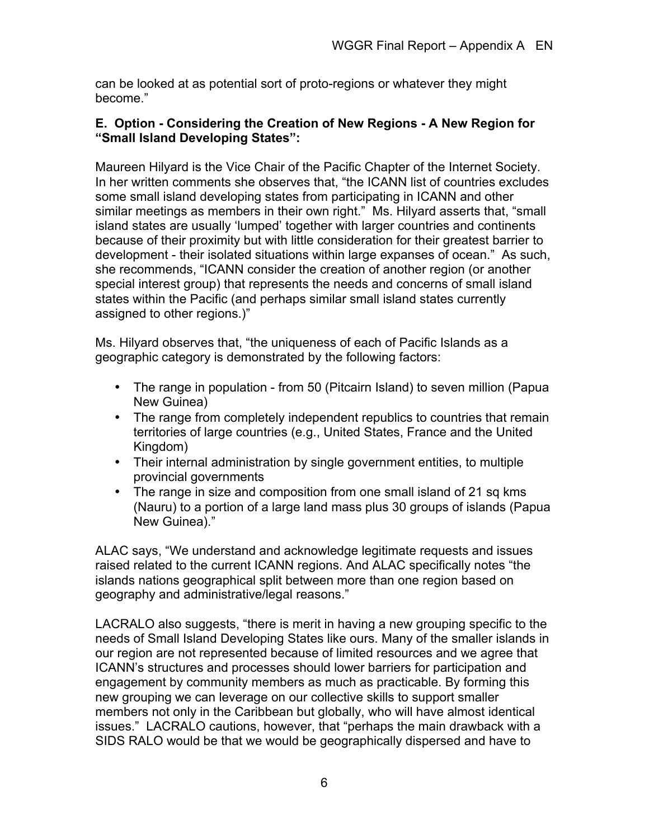can be looked at as potential sort of proto-regions or whatever they might become."

#### **E. Option - Considering the Creation of New Regions - A New Region for "Small Island Developing States":**

Maureen Hilyard is the Vice Chair of the Pacific Chapter of the Internet Society. In her written comments she observes that, "the ICANN list of countries excludes some small island developing states from participating in ICANN and other similar meetings as members in their own right." Ms. Hilyard asserts that, "small island states are usually 'lumped' together with larger countries and continents because of their proximity but with little consideration for their greatest barrier to development - their isolated situations within large expanses of ocean." As such, she recommends, "ICANN consider the creation of another region (or another special interest group) that represents the needs and concerns of small island states within the Pacific (and perhaps similar small island states currently assigned to other regions.)"

Ms. Hilyard observes that, "the uniqueness of each of Pacific Islands as a geographic category is demonstrated by the following factors:

- The range in population from 50 (Pitcairn Island) to seven million (Papua New Guinea)
- The range from completely independent republics to countries that remain territories of large countries (e.g., United States, France and the United Kingdom)
- Their internal administration by single government entities, to multiple provincial governments
- The range in size and composition from one small island of 21 sq kms (Nauru) to a portion of a large land mass plus 30 groups of islands (Papua New Guinea)."

ALAC says, "We understand and acknowledge legitimate requests and issues raised related to the current ICANN regions. And ALAC specifically notes "the islands nations geographical split between more than one region based on geography and administrative/legal reasons."

LACRALO also suggests, "there is merit in having a new grouping specific to the needs of Small Island Developing States like ours. Many of the smaller islands in our region are not represented because of limited resources and we agree that ICANN's structures and processes should lower barriers for participation and engagement by community members as much as practicable. By forming this new grouping we can leverage on our collective skills to support smaller members not only in the Caribbean but globally, who will have almost identical issues." LACRALO cautions, however, that "perhaps the main drawback with a SIDS RALO would be that we would be geographically dispersed and have to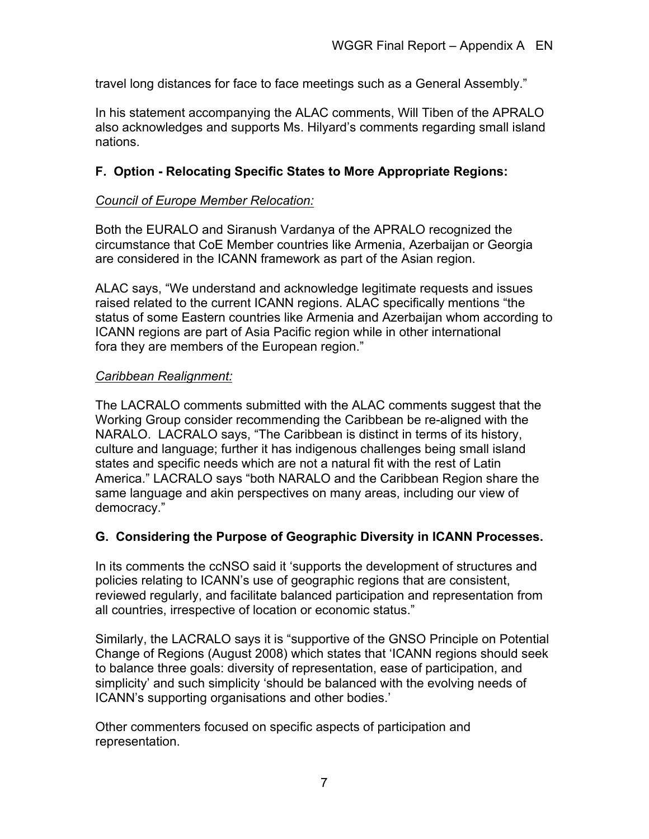travel long distances for face to face meetings such as a General Assembly."

In his statement accompanying the ALAC comments, Will Tiben of the APRALO also acknowledges and supports Ms. Hilyard's comments regarding small island nations.

# **F. Option - Relocating Specific States to More Appropriate Regions:**

#### *Council of Europe Member Relocation:*

Both the EURALO and Siranush Vardanya of the APRALO recognized the circumstance that CoE Member countries like Armenia, Azerbaijan or Georgia are considered in the ICANN framework as part of the Asian region.

ALAC says, "We understand and acknowledge legitimate requests and issues raised related to the current ICANN regions. ALAC specifically mentions "the status of some Eastern countries like Armenia and Azerbaijan whom according to ICANN regions are part of Asia Pacific region while in other international fora they are members of the European region."

#### *Caribbean Realignment:*

The LACRALO comments submitted with the ALAC comments suggest that the Working Group consider recommending the Caribbean be re-aligned with the NARALO. LACRALO says, "The Caribbean is distinct in terms of its history, culture and language; further it has indigenous challenges being small island states and specific needs which are not a natural fit with the rest of Latin America." LACRALO says "both NARALO and the Caribbean Region share the same language and akin perspectives on many areas, including our view of democracy."

# **G. Considering the Purpose of Geographic Diversity in ICANN Processes.**

In its comments the ccNSO said it 'supports the development of structures and policies relating to ICANN's use of geographic regions that are consistent, reviewed regularly, and facilitate balanced participation and representation from all countries, irrespective of location or economic status."

Similarly, the LACRALO says it is "supportive of the GNSO Principle on Potential Change of Regions (August 2008) which states that 'ICANN regions should seek to balance three goals: diversity of representation, ease of participation, and simplicity' and such simplicity 'should be balanced with the evolving needs of ICANN's supporting organisations and other bodies.'

Other commenters focused on specific aspects of participation and representation.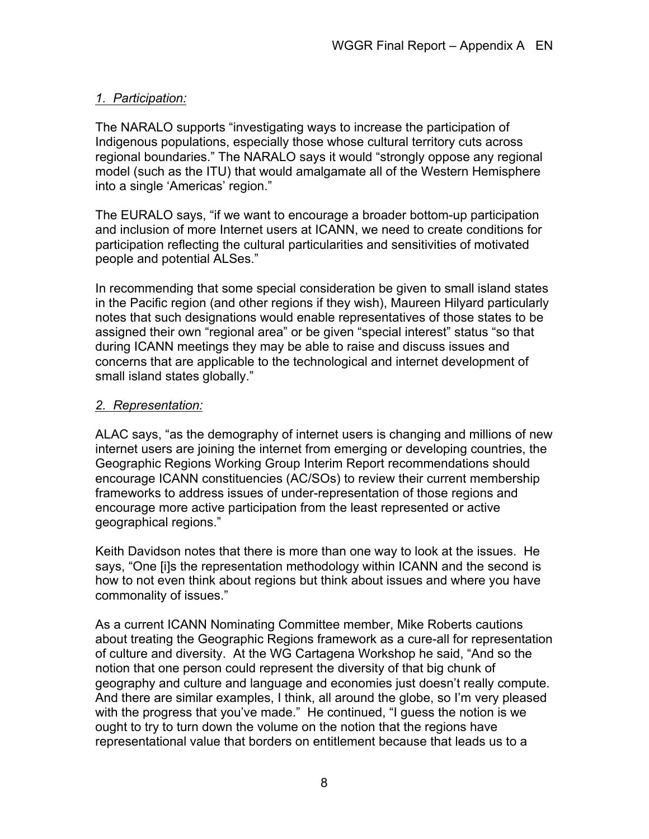# *1. Participation:*

The NARALO supports "investigating ways to increase the participation of Indigenous populations, especially those whose cultural territory cuts across regional boundaries." The NARALO says it would "strongly oppose any regional model (such as the ITU) that would amalgamate all of the Western Hemisphere into a single 'Americas' region."

The EURALO says, "if we want to encourage a broader bottom-up participation and inclusion of more Internet users at ICANN, we need to create conditions for participation reflecting the cultural particularities and sensitivities of motivated people and potential ALSes."

In recommending that some special consideration be given to small island states in the Pacific region (and other regions if they wish), Maureen Hilyard particularly notes that such designations would enable representatives of those states to be assigned their own "regional area" or be given "special interest" status "so that during ICANN meetings they may be able to raise and discuss issues and concerns that are applicable to the technological and internet development of small island states globally."

# *2. Representation:*

ALAC says, "as the demography of internet users is changing and millions of new internet users are joining the internet from emerging or developing countries, the Geographic Regions Working Group Interim Report recommendations should encourage ICANN constituencies (AC/SOs) to review their current membership frameworks to address issues of under-representation of those regions and encourage more active participation from the least represented or active geographical regions."

Keith Davidson notes that there is more than one way to look at the issues. He says, "One [i]s the representation methodology within ICANN and the second is how to not even think about regions but think about issues and where you have commonality of issues."

As a current ICANN Nominating Committee member, Mike Roberts cautions about treating the Geographic Regions framework as a cure-all for representation of culture and diversity. At the WG Cartagena Workshop he said, "And so the notion that one person could represent the diversity of that big chunk of geography and culture and language and economies just doesn't really compute. And there are similar examples, I think, all around the globe, so I'm very pleased with the progress that you've made." He continued, "I guess the notion is we ought to try to turn down the volume on the notion that the regions have representational value that borders on entitlement because that leads us to a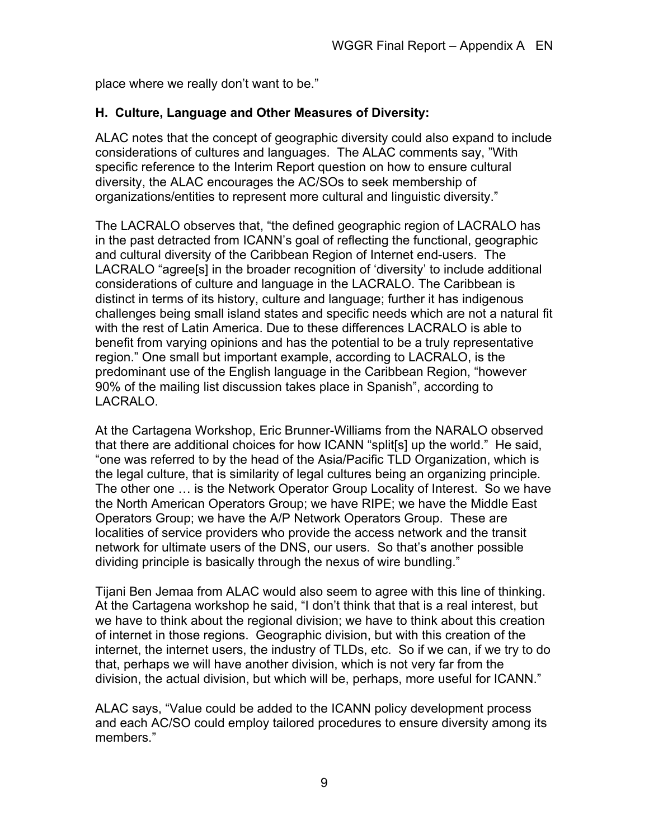place where we really don't want to be."

# **H. Culture, Language and Other Measures of Diversity:**

ALAC notes that the concept of geographic diversity could also expand to include considerations of cultures and languages. The ALAC comments say, "With specific reference to the Interim Report question on how to ensure cultural diversity, the ALAC encourages the AC/SOs to seek membership of organizations/entities to represent more cultural and linguistic diversity."

The LACRALO observes that, "the defined geographic region of LACRALO has in the past detracted from ICANN's goal of reflecting the functional, geographic and cultural diversity of the Caribbean Region of Internet end-users. The LACRALO "agree[s] in the broader recognition of 'diversity' to include additional considerations of culture and language in the LACRALO. The Caribbean is distinct in terms of its history, culture and language; further it has indigenous challenges being small island states and specific needs which are not a natural fit with the rest of Latin America. Due to these differences LACRALO is able to benefit from varying opinions and has the potential to be a truly representative region." One small but important example, according to LACRALO, is the predominant use of the English language in the Caribbean Region, "however 90% of the mailing list discussion takes place in Spanish", according to LACRALO.

At the Cartagena Workshop, Eric Brunner-Williams from the NARALO observed that there are additional choices for how ICANN "split[s] up the world." He said, "one was referred to by the head of the Asia/Pacific TLD Organization, which is the legal culture, that is similarity of legal cultures being an organizing principle. The other one … is the Network Operator Group Locality of Interest. So we have the North American Operators Group; we have RIPE; we have the Middle East Operators Group; we have the A/P Network Operators Group. These are localities of service providers who provide the access network and the transit network for ultimate users of the DNS, our users. So that's another possible dividing principle is basically through the nexus of wire bundling."

Tijani Ben Jemaa from ALAC would also seem to agree with this line of thinking. At the Cartagena workshop he said, "I don't think that that is a real interest, but we have to think about the regional division; we have to think about this creation of internet in those regions. Geographic division, but with this creation of the internet, the internet users, the industry of TLDs, etc. So if we can, if we try to do that, perhaps we will have another division, which is not very far from the division, the actual division, but which will be, perhaps, more useful for ICANN."

ALAC says, "Value could be added to the ICANN policy development process and each AC/SO could employ tailored procedures to ensure diversity among its members."